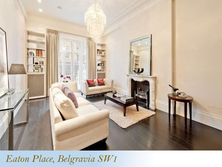

# *Eaton Place, Belgravia SW1*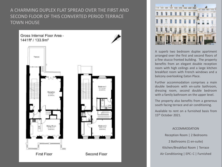A CHARMING DUPLEX FLAT SPREAD OVER THE FIRST AND SECOND FLOOR OF THIS CONVERTED PERIOD TERRACE TOWN HOUSE

Gross Internal Floor Area -1441ft<sup>2</sup> / 133.9m<sup>2</sup>



**First Floor** 



Second Floor



A superb two bedroom duplex apartment arranged over the first and second floors of a fine stucco fronted building. The property benefits from an elegant double reception room with high ceilings and a large kitchen breakfast room with French windows and a balcony overlooking Eaton Place.

Further accommodation comprises a main double bedroom with en-suite bathroom, dressing room, second double bedroom with a family bathroom on the upper level.

The property also benefits from a generous south facing terrace and air conditioning.

Available to rent on a furnished basis from 15th October 2021.

# ACCOMMODATION

Reception Room | 2 Bedrooms 2 Bathrooms (1 en-suite) Kitchen/Breakfast Room | Terrace Air Conditioning | EPC: C | Furnished